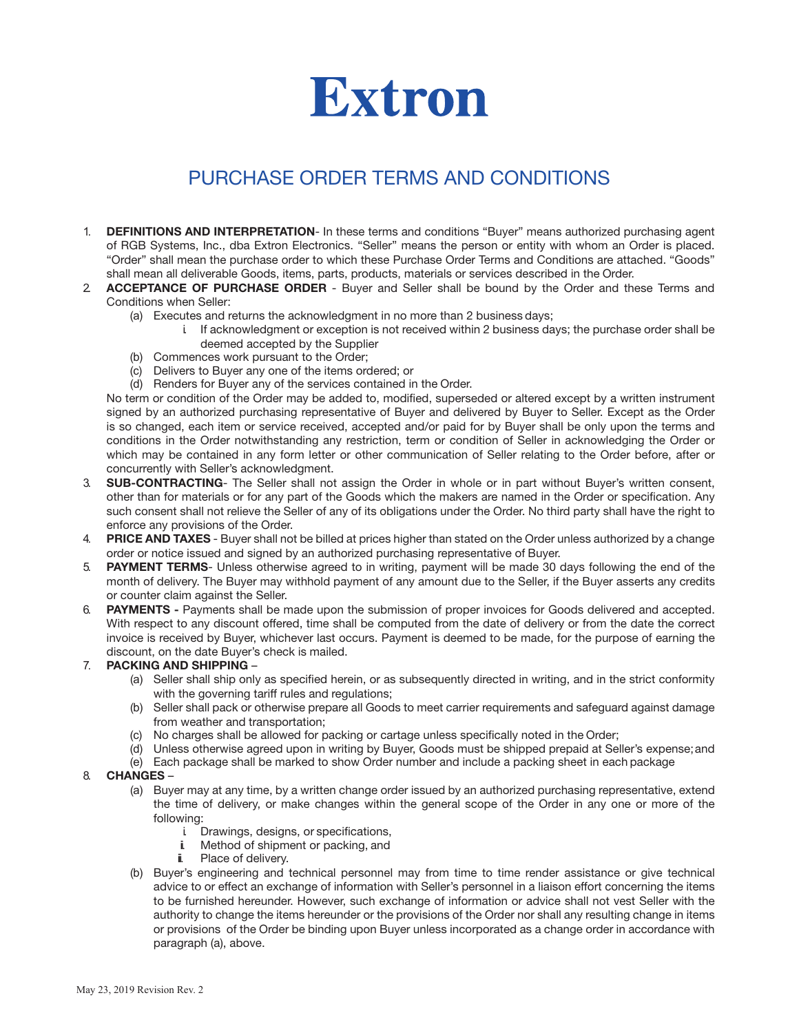

## PURCHASE ORDER TERMS AND CONDITIONS

- 1. **DEFINITIONS AND INTERPRETATION** In these terms and conditions "Buyer" means authorized purchasing agent of RGB Systems, Inc., dba Extron Electronics. "Seller" means the person or entity with whom an Order is placed. "Order" shall mean the purchase order to which these Purchase Order Terms and Conditions are attached. "Goods" shall mean all deliverable Goods, items, parts, products, materials or services described in the Order.
- 2. ACCEPTANCE OF PURCHASE ORDER Buyer and Seller shall be bound by the Order and these Terms and Conditions when Seller:
	- (a) Executes and returns the acknowledgment in no more than 2 business days;
		- i. If acknowledgment or exception is not received within 2 business days; the purchase order shall be deemed accepted by the Supplier
	- (b) Commences work pursuant to the Order;
	- (c) Delivers to Buyer any one of the items ordered; or
	- (d) Renders for Buyer any of the services contained in the Order.

No term or condition of the Order may be added to, modified, superseded or altered except by a written instrument signed by an authorized purchasing representative of Buyer and delivered by Buyer to Seller. Except as the Order is so changed, each item or service received, accepted and/or paid for by Buyer shall be only upon the terms and conditions in the Order notwithstanding any restriction, term or condition of Seller in acknowledging the Order or which may be contained in any form letter or other communication of Seller relating to the Order before, after or concurrently with Seller's acknowledgment.

- 3. SUB-CONTRACTING- The Seller shall not assign the Order in whole or in part without Buyer's written consent, other than for materials or for any part of the Goods which the makers are named in the Order or specification. Any such consent shall not relieve the Seller of any of its obligations under the Order. No third party shall have the right to enforce any provisions of the Order.
- 4. PRICE AND TAXES Buyer shall not be billed at prices higher than stated on the Order unless authorized by a change order or notice issued and signed by an authorized purchasing representative of Buyer.
- 5. PAYMENT TERMS- Unless otherwise agreed to in writing, payment will be made 30 days following the end of the month of delivery. The Buyer may withhold payment of any amount due to the Seller, if the Buyer asserts any credits or counter claim against the Seller.
- 6. PAYMENTS Payments shall be made upon the submission of proper invoices for Goods delivered and accepted. With respect to any discount offered, time shall be computed from the date of delivery or from the date the correct invoice is received by Buyer, whichever last occurs. Payment is deemed to be made, for the purpose of earning the discount, on the date Buyer's check is mailed.

## 7. PACKING AND SHIPPING –

- (a) Seller shall ship only as specified herein, or as subsequently directed in writing, and in the strict conformity with the governing tariff rules and regulations;
- (b) Seller shall pack or otherwise prepare all Goods to meet carrier requirements and safeguard against damage from weather and transportation;
- (c) No charges shall be allowed for packing or cartage unless specifically noted in the Order;
- (d) Unless otherwise agreed upon in writing by Buyer, Goods must be shipped prepaid at Seller's expense; and

(e) Each package shall be marked to show Order number and include a packing sheet in each package

## 8. CHANGES –

- (a) Buyer may at any time, by a written change order issued by an authorized purchasing representative, extend the time of delivery, or make changes within the general scope of the Order in any one or more of the following:
	- i. Drawings, designs, or specifications,<br>i. Method of shipment or packing, and
	- i Method of shipment or packing, and<br>
	Place of delivery
	- Place of delivery.
- (b) Buyer's engineering and technical personnel may from time to time render assistance or give technical advice to or effect an exchange of information with Seller's personnel in a liaison effort concerning the items to be furnished hereunder. However, such exchange of information or advice shall not vest Seller with the authority to change the items hereunder or the provisions of the Order nor shall any resulting change in items or provisions of the Order be binding upon Buyer unless incorporated as a change order in accordance with paragraph (a), above.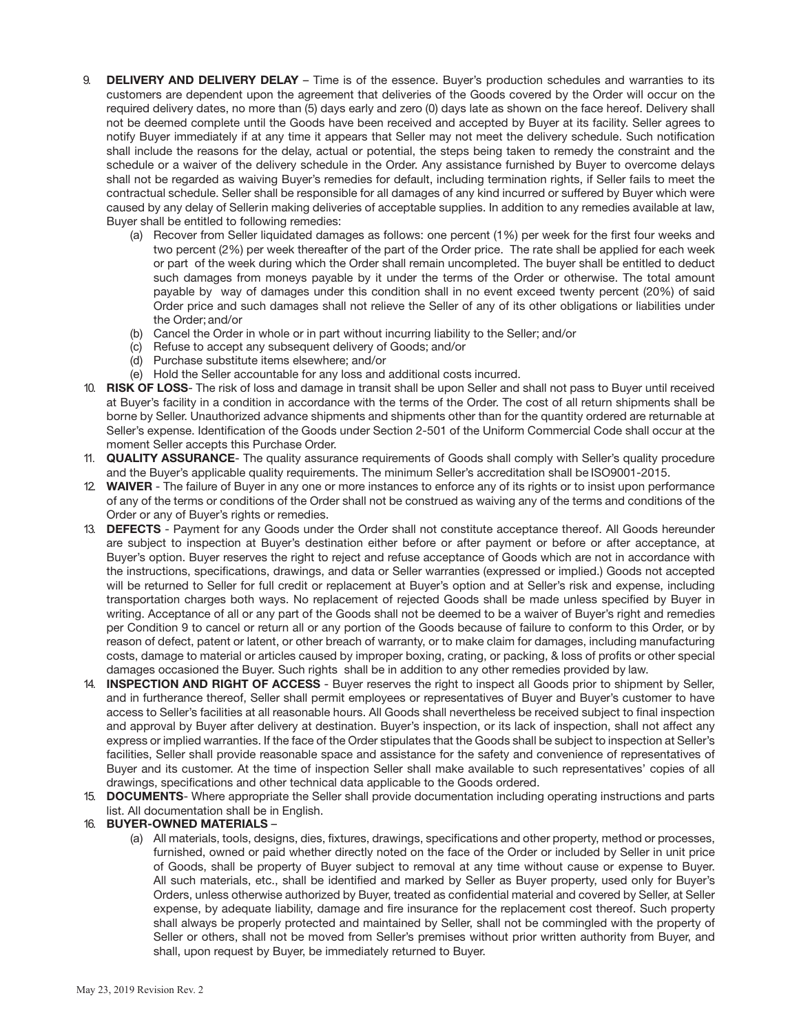- 9. DELIVERY AND DELIVERY DELAY Time is of the essence. Buyer's production schedules and warranties to its customers are dependent upon the agreement that deliveries of the Goods covered by the Order will occur on the required delivery dates, no more than (5) days early and zero (0) days late as shown on the face hereof. Delivery shall not be deemed complete until the Goods have been received and accepted by Buyer at its facility. Seller agrees to notify Buyer immediately if at any time it appears that Seller may not meet the delivery schedule. Such notification shall include the reasons for the delay, actual or potential, the steps being taken to remedy the constraint and the schedule or a waiver of the delivery schedule in the Order. Any assistance furnished by Buyer to overcome delays shall not be regarded as waiving Buyer's remedies for default, including termination rights, if Seller fails to meet the contractual schedule. Seller shall be responsible for all damages of any kind incurred or suffered by Buyer which were caused by any delay of Sellerin making deliveries of acceptable supplies. In addition to any remedies available at law, Buyer shall be entitled to following remedies:
	- (a) Recover from Seller liquidated damages as follows: one percent (1%) per week for the first four weeks and two percent (2%) per week thereafter of the part of the Order price. The rate shall be applied for each week or part of the week during which the Order shall remain uncompleted. The buyer shall be entitled to deduct such damages from moneys payable by it under the terms of the Order or otherwise. The total amount payable by way of damages under this condition shall in no event exceed twenty percent (20%) of said Order price and such damages shall not relieve the Seller of any of its other obligations or liabilities under the Order; and/or
	- (b) Cancel the Order in whole or in part without incurring liability to the Seller; and/or
	- (c) Refuse to accept any subsequent delivery of Goods; and/or
	- (d) Purchase substitute items elsewhere; and/or
	- (e) Hold the Seller accountable for any loss and additional costs incurred.
- 10. RISK OF LOSS- The risk of loss and damage in transit shall be upon Seller and shall not pass to Buyer until received at Buyer's facility in a condition in accordance with the terms of the Order. The cost of all return shipments shall be borne by Seller. Unauthorized advance shipments and shipments other than for the quantity ordered are returnable at Seller's expense. Identification of the Goods under Section 2-501 of the Uniform Commercial Code shall occur at the moment Seller accepts this Purchase Order.
- 11. **QUALITY ASSURANCE** The quality assurance requirements of Goods shall comply with Seller's quality procedure and the Buyer's applicable quality requirements. The minimum Seller's accreditation shall be ISO9001-2015.
- 12 WAIVER The failure of Buyer in any one or more instances to enforce any of its rights or to insist upon performance of any of the terms or conditions of the Order shall not be construed as waiving any of the terms and conditions of the Order or any of Buyer's rights or remedies.
- 13. DEFECTS Payment for any Goods under the Order shall not constitute acceptance thereof. All Goods hereunder are subject to inspection at Buyer's destination either before or after payment or before or after acceptance, at Buyer's option. Buyer reserves the right to reject and refuse acceptance of Goods which are not in accordance with the instructions, specifications, drawings, and data or Seller warranties (expressed or implied.) Goods not accepted will be returned to Seller for full credit or replacement at Buyer's option and at Seller's risk and expense, including transportation charges both ways. No replacement of rejected Goods shall be made unless specified by Buyer in writing. Acceptance of all or any part of the Goods shall not be deemed to be a waiver of Buyer's right and remedies per Condition 9 to cancel or return all or any portion of the Goods because of failure to conform to this Order, or by reason of defect, patent or latent, or other breach of warranty, or to make claim for damages, including manufacturing costs, damage to material or articles caused by improper boxing, crating, or packing, & loss of profits or other special damages occasioned the Buyer. Such rights shall be in addition to any other remedies provided by law.
- 14. **INSPECTION AND RIGHT OF ACCESS** Buyer reserves the right to inspect all Goods prior to shipment by Seller, and in furtherance thereof, Seller shall permit employees or representatives of Buyer and Buyer's customer to have access to Seller's facilities at all reasonable hours. All Goods shall nevertheless be received subject to final inspection and approval by Buyer after delivery at destination. Buyer's inspection, or its lack of inspection, shall not affect any express or implied warranties. If the face of the Order stipulates that the Goods shall be subject to inspection at Seller's facilities, Seller shall provide reasonable space and assistance for the safety and convenience of representatives of Buyer and its customer. At the time of inspection Seller shall make available to such representatives' copies of all drawings, specifications and other technical data applicable to the Goods ordered.
- 15. DOCUMENTS- Where appropriate the Seller shall provide documentation including operating instructions and parts list. All documentation shall be in English.
- 16. BUYER-OWNED MATERIALS
	- (a) All materials, tools, designs, dies, fixtures, drawings, specifications and other property, method or processes, furnished, owned or paid whether directly noted on the face of the Order or included by Seller in unit price of Goods, shall be property of Buyer subject to removal at any time without cause or expense to Buyer. All such materials, etc., shall be identified and marked by Seller as Buyer property, used only for Buyer's Orders, unless otherwise authorized by Buyer, treated as confidential material and covered by Seller, at Seller expense, by adequate liability, damage and fire insurance for the replacement cost thereof. Such property shall always be properly protected and maintained by Seller, shall not be commingled with the property of Seller or others, shall not be moved from Seller's premises without prior written authority from Buyer, and shall, upon request by Buyer, be immediately returned to Buyer.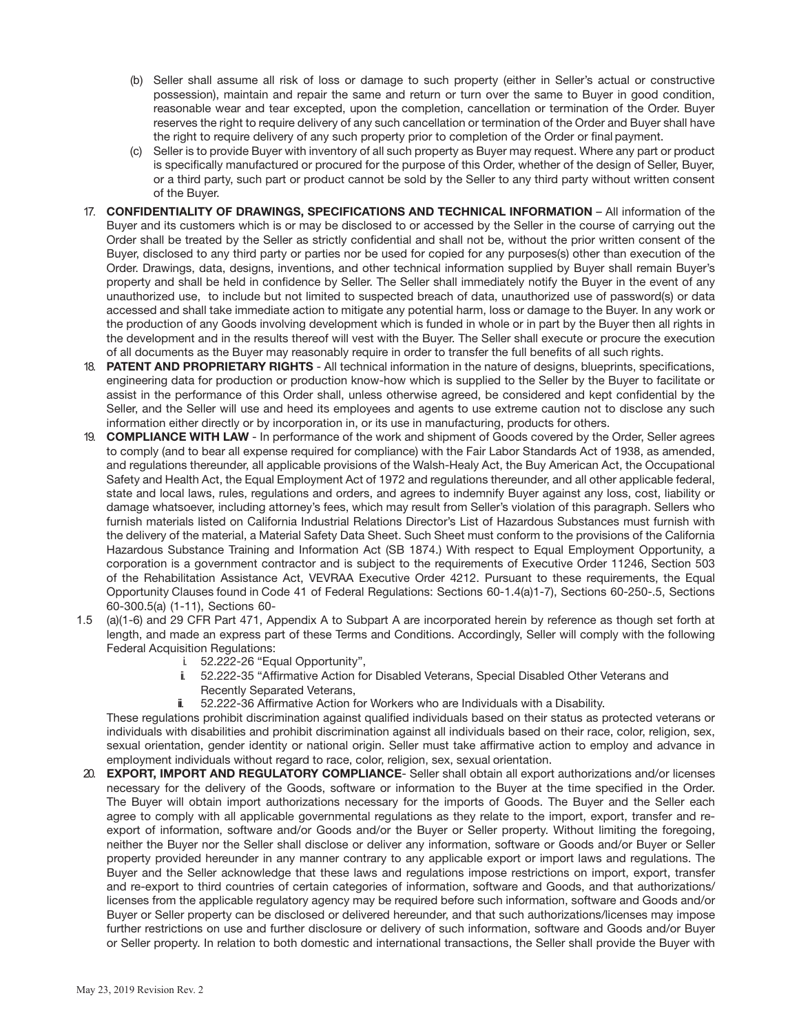- (b) Seller shall assume all risk of loss or damage to such property (either in Seller's actual or constructive possession), maintain and repair the same and return or turn over the same to Buyer in good condition, reasonable wear and tear excepted, upon the completion, cancellation or termination of the Order. Buyer reserves the right to require delivery of any such cancellation or termination of the Order and Buyer shall have the right to require delivery of any such property prior to completion of the Order or final payment.
- (c) Seller is to provide Buyer with inventory of all such property as Buyer may request. Where any part or product is specifically manufactured or procured for the purpose of this Order, whether of the design of Seller, Buyer, or a third party, such part or product cannot be sold by the Seller to any third party without written consent of the Buyer.
- 17. CONFIDENTIALITY OF DRAWINGS, SPECIFICATIONS AND TECHNICAL INFORMATION All information of the Buyer and its customers which is or may be disclosed to or accessed by the Seller in the course of carrying out the Order shall be treated by the Seller as strictly confidential and shall not be, without the prior written consent of the Buyer, disclosed to any third party or parties nor be used for copied for any purposes(s) other than execution of the Order. Drawings, data, designs, inventions, and other technical information supplied by Buyer shall remain Buyer's property and shall be held in confidence by Seller. The Seller shall immediately notify the Buyer in the event of any unauthorized use, to include but not limited to suspected breach of data, unauthorized use of password(s) or data accessed and shall take immediate action to mitigate any potential harm, loss or damage to the Buyer. In any work or the production of any Goods involving development which is funded in whole or in part by the Buyer then all rights in the development and in the results thereof will vest with the Buyer. The Seller shall execute or procure the execution of all documents as the Buyer may reasonably require in order to transfer the full benefits of all such rights.
- 18. PATENT AND PROPRIETARY RIGHTS All technical information in the nature of designs, blueprints, specifications, engineering data for production or production know-how which is supplied to the Seller by the Buyer to facilitate or assist in the performance of this Order shall, unless otherwise agreed, be considered and kept confidential by the Seller, and the Seller will use and heed its employees and agents to use extreme caution not to disclose any such information either directly or by incorporation in, or its use in manufacturing, products for others.
- 19. **COMPLIANCE WITH LAW** In performance of the work and shipment of Goods covered by the Order, Seller agrees to comply (and to bear all expense required for compliance) with the Fair Labor Standards Act of 1938, as amended, and regulations thereunder, all applicable provisions of the Walsh-Healy Act, the Buy American Act, the Occupational Safety and Health Act, the Equal Employment Act of 1972 and regulations thereunder, and all other applicable federal, state and local laws, rules, regulations and orders, and agrees to indemnify Buyer against any loss, cost, liability or damage whatsoever, including attorney's fees, which may result from Seller's violation of this paragraph. Sellers who furnish materials listed on California Industrial Relations Director's List of Hazardous Substances must furnish with the delivery of the material, a Material Safety Data Sheet. Such Sheet must conform to the provisions of the California Hazardous Substance Training and Information Act (SB 1874.) With respect to Equal Employment Opportunity, a corporation is a government contractor and is subject to the requirements of Executive Order 11246, Section 503 of the Rehabilitation Assistance Act, VEVRAA Executive Order 4212. Pursuant to these requirements, the Equal Opportunity Clauses found in Code 41 of Federal Regulations: Sections 60-1.4(a)1-7), Sections 60-250-.5, Sections 60-300.5(a) (1-11), Sections 60-
- 1.5 (a)(1-6) and 29 CFR Part 471, Appendix A to Subpart A are incorporated herein by reference as though set forth at length, and made an express part of these Terms and Conditions. Accordingly, Seller will comply with the following Federal Acquisition Regulations:
	- i. 52.222-26 "Equal Opportunity",
	- ii. 52.222-35 "Affirmative Action for Disabled Veterans, Special Disabled Other Veterans and
	- Recently Separated Veterans,
	- 52.222-36 Affirmative Action for Workers who are Individuals with a Disability.

These regulations prohibit discrimination against qualified individuals based on their status as protected veterans or individuals with disabilities and prohibit discrimination against all individuals based on their race, color, religion, sex, sexual orientation, gender identity or national origin. Seller must take affirmative action to employ and advance in employment individuals without regard to race, color, religion, sex, sexual orientation.

20. EXPORT, IMPORT AND REGULATORY COMPLIANCE- Seller shall obtain all export authorizations and/or licenses necessary for the delivery of the Goods, software or information to the Buyer at the time specified in the Order. The Buyer will obtain import authorizations necessary for the imports of Goods. The Buyer and the Seller each agree to comply with all applicable governmental regulations as they relate to the import, export, transfer and reexport of information, software and/or Goods and/or the Buyer or Seller property. Without limiting the foregoing, neither the Buyer nor the Seller shall disclose or deliver any information, software or Goods and/or Buyer or Seller property provided hereunder in any manner contrary to any applicable export or import laws and regulations. The Buyer and the Seller acknowledge that these laws and regulations impose restrictions on import, export, transfer and re-export to third countries of certain categories of information, software and Goods, and that authorizations/ licenses from the applicable regulatory agency may be required before such information, software and Goods and/or Buyer or Seller property can be disclosed or delivered hereunder, and that such authorizations/licenses may impose further restrictions on use and further disclosure or delivery of such information, software and Goods and/or Buyer or Seller property. In relation to both domestic and international transactions, the Seller shall provide the Buyer with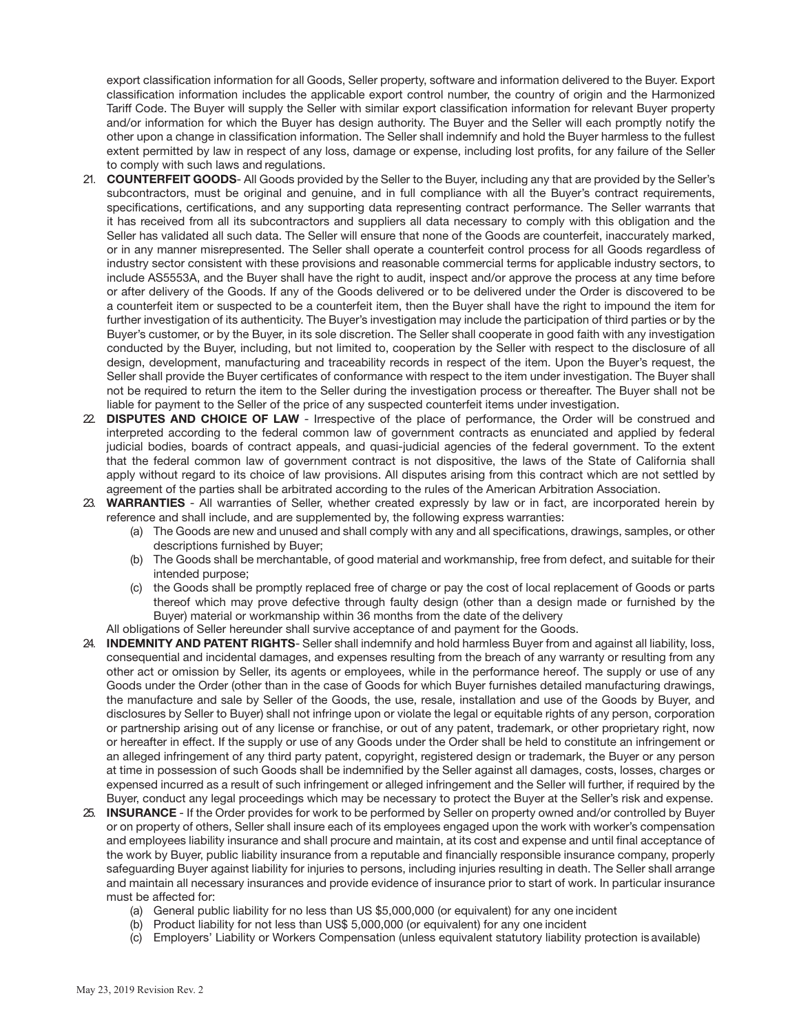export classification information for all Goods, Seller property, software and information delivered to the Buyer. Export classification information includes the applicable export control number, the country of origin and the Harmonized Tariff Code. The Buyer will supply the Seller with similar export classification information for relevant Buyer property and/or information for which the Buyer has design authority. The Buyer and the Seller will each promptly notify the other upon a change in classification information. The Seller shall indemnify and hold the Buyer harmless to the fullest extent permitted by law in respect of any loss, damage or expense, including lost profits, for any failure of the Seller to comply with such laws and regulations.

- 21. COUNTERFEIT GOODS- All Goods provided by the Seller to the Buyer, including any that are provided by the Seller's subcontractors, must be original and genuine, and in full compliance with all the Buyer's contract requirements, specifications, certifications, and any supporting data representing contract performance. The Seller warrants that it has received from all its subcontractors and suppliers all data necessary to comply with this obligation and the Seller has validated all such data. The Seller will ensure that none of the Goods are counterfeit, inaccurately marked, or in any manner misrepresented. The Seller shall operate a counterfeit control process for all Goods regardless of industry sector consistent with these provisions and reasonable commercial terms for applicable industry sectors, to include AS5553A, and the Buyer shall have the right to audit, inspect and/or approve the process at any time before or after delivery of the Goods. If any of the Goods delivered or to be delivered under the Order is discovered to be a counterfeit item or suspected to be a counterfeit item, then the Buyer shall have the right to impound the item for further investigation of its authenticity. The Buyer's investigation may include the participation of third parties or by the Buyer's customer, or by the Buyer, in its sole discretion. The Seller shall cooperate in good faith with any investigation conducted by the Buyer, including, but not limited to, cooperation by the Seller with respect to the disclosure of all design, development, manufacturing and traceability records in respect of the item. Upon the Buyer's request, the Seller shall provide the Buyer certificates of conformance with respect to the item under investigation. The Buyer shall not be required to return the item to the Seller during the investigation process or thereafter. The Buyer shall not be liable for payment to the Seller of the price of any suspected counterfeit items under investigation.
- 22. DISPUTES AND CHOICE OF LAW Irrespective of the place of performance, the Order will be construed and interpreted according to the federal common law of government contracts as enunciated and applied by federal judicial bodies, boards of contract appeals, and quasi-judicial agencies of the federal government. To the extent that the federal common law of government contract is not dispositive, the laws of the State of California shall apply without regard to its choice of law provisions. All disputes arising from this contract which are not settled by agreement of the parties shall be arbitrated according to the rules of the American Arbitration Association.
- 23. WARRANTIES All warranties of Seller, whether created expressly by law or in fact, are incorporated herein by reference and shall include, and are supplemented by, the following express warranties:
	- (a) The Goods are new and unused and shall comply with any and all specifications, drawings, samples, or other descriptions furnished by Buyer;
	- (b) The Goods shall be merchantable, of good material and workmanship, free from defect, and suitable for their intended purpose;
	- (c) the Goods shall be promptly replaced free of charge or pay the cost of local replacement of Goods or parts thereof which may prove defective through faulty design (other than a design made or furnished by the Buyer) material or workmanship within 36 months from the date of the delivery
	- All obligations of Seller hereunder shall survive acceptance of and payment for the Goods.
- 24. **INDEMNITY AND PATENT RIGHTS** Seller shall indemnify and hold harmless Buyer from and against all liability, loss, consequential and incidental damages, and expenses resulting from the breach of any warranty or resulting from any other act or omission by Seller, its agents or employees, while in the performance hereof. The supply or use of any Goods under the Order (other than in the case of Goods for which Buyer furnishes detailed manufacturing drawings, the manufacture and sale by Seller of the Goods, the use, resale, installation and use of the Goods by Buyer, and disclosures by Seller to Buyer) shall not infringe upon or violate the legal or equitable rights of any person, corporation or partnership arising out of any license or franchise, or out of any patent, trademark, or other proprietary right, now or hereafter in effect. If the supply or use of any Goods under the Order shall be held to constitute an infringement or an alleged infringement of any third party patent, copyright, registered design or trademark, the Buyer or any person at time in possession of such Goods shall be indemnified by the Seller against all damages, costs, losses, charges or expensed incurred as a result of such infringement or alleged infringement and the Seller will further, if required by the Buyer, conduct any legal proceedings which may be necessary to protect the Buyer at the Seller's risk and expense.
- 25. **INSURANCE** If the Order provides for work to be performed by Seller on property owned and/or controlled by Buyer or on property of others, Seller shall insure each of its employees engaged upon the work with worker's compensation and employees liability insurance and shall procure and maintain, at its cost and expense and until final acceptance of the work by Buyer, public liability insurance from a reputable and financially responsible insurance company, properly safeguarding Buyer against liability for injuries to persons, including injuries resulting in death. The Seller shall arrange and maintain all necessary insurances and provide evidence of insurance prior to start of work. In particular insurance must be affected for:
	- (a) General public liability for no less than US \$5,000,000 (or equivalent) for any one incident
	- (b) Product liability for not less than US\$ 5,000,000 (or equivalent) for any one incident
	- (c) Employers' Liability or Workers Compensation (unless equivalent statutory liability protection is available)